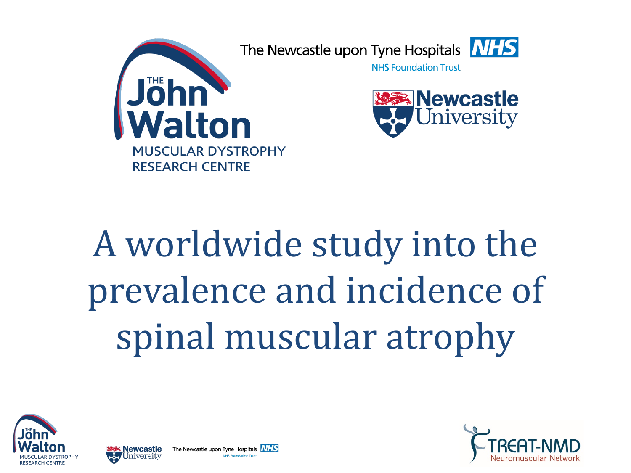

# A worldwide study into the prevalence and incidence of spinal muscular atrophy





The Newcastle upon Tyne Hospitals **NHS NHS Foundation Trus** 

lewcastle

niversity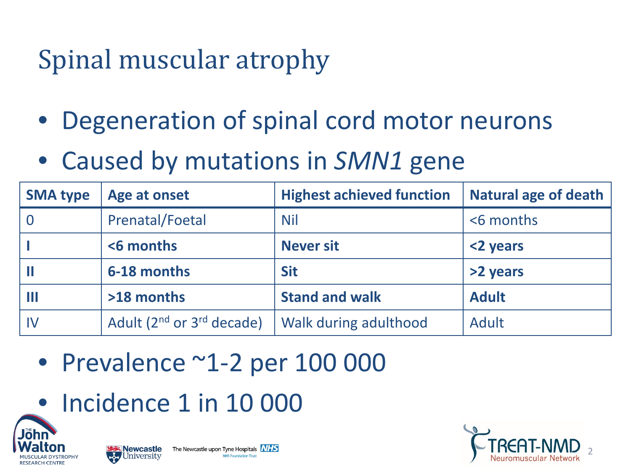## Spinal muscular atrophy

- Degeneration of spinal cord motor neurons
- Caused by mutations in *SMN1* gene

| <b>SMA type</b> | Age at onset                        | <b>Highest achieved function</b> | <b>Natural age of death</b> |
|-----------------|-------------------------------------|----------------------------------|-----------------------------|
|                 | <b>Prenatal/Foetal</b>              | <b>Nil</b>                       | <6 months                   |
|                 | <6 months                           | <b>Never sit</b>                 | <2 years                    |
|                 | 6-18 months                         | <b>Sit</b>                       | >2 years                    |
|                 | >18 months                          | <b>Stand and walk</b>            | <b>Adult</b>                |
| IV              | Adult $(2^{nd}$ or $3^{rd}$ decade) | Walk during adulthood            | Adult                       |

- Prevalence ~1-2 per 100 000
- Incidence 1 in 10 000





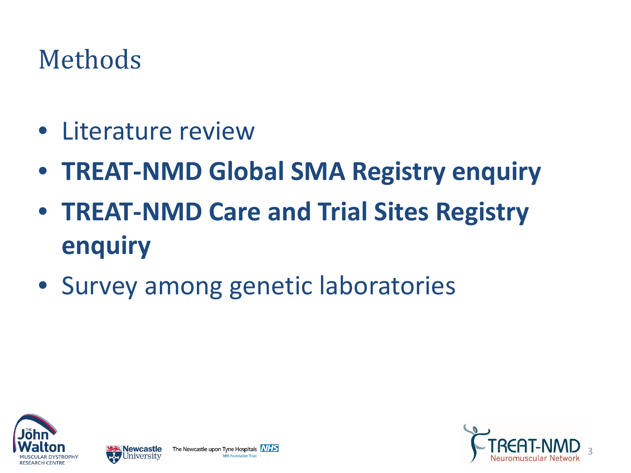### Methods

- Literature review
- **TREAT-NMD Global SMA Registry enquiry**
- **TREAT-NMD Care and Trial Sites Registry enquiry**
- Survey among genetic laboratories





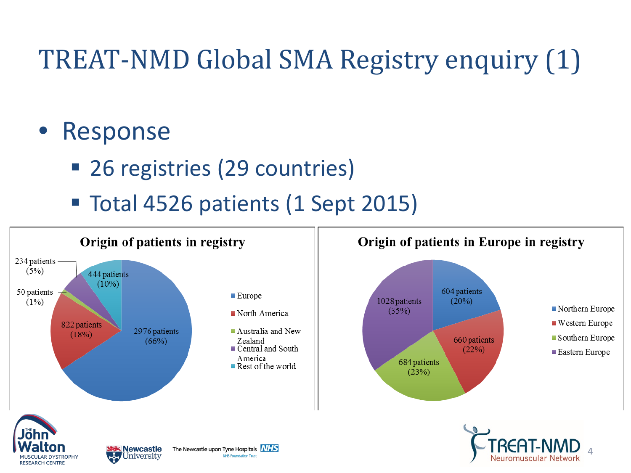## TREAT-NMD Global SMA Registry enquiry (1)

#### **Response**

- 26 registries (29 countries)
- Total 4526 patients (1 Sept 2015)







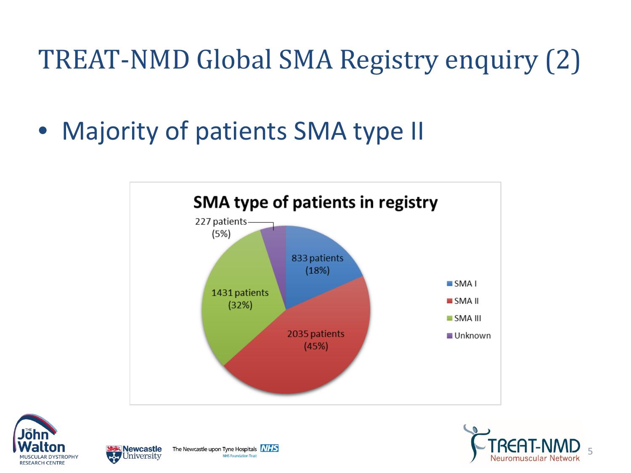## TREAT-NMD Global SMA Registry enquiry (2)

• Majority of patients SMA type II









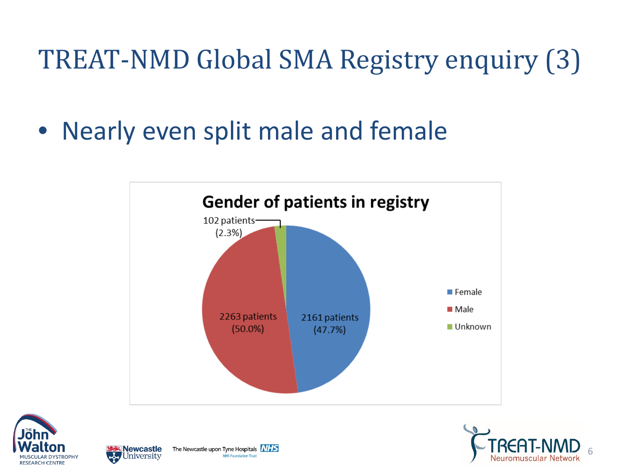## TREAT-NMD Global SMA Registry enquiry (3)

• Nearly even split male and female









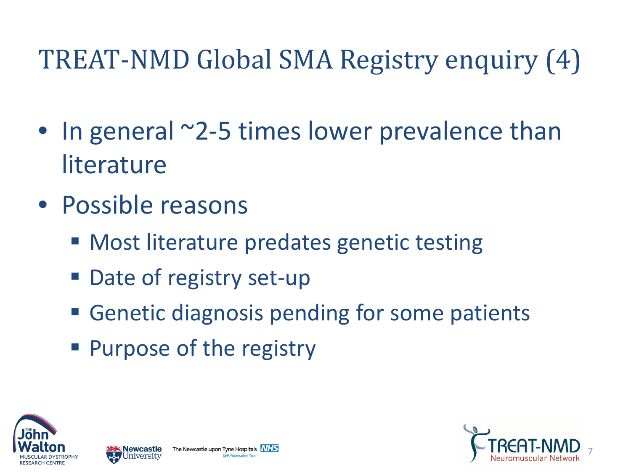## TREAT-NMD Global SMA Registry enquiry (4)

- In general ~2-5 times lower prevalence than literature
- Possible reasons
	- Most literature predates genetic testing
	- Date of registry set-up
	- **Genetic diagnosis pending for some patients**
	- **Purpose of the registry**





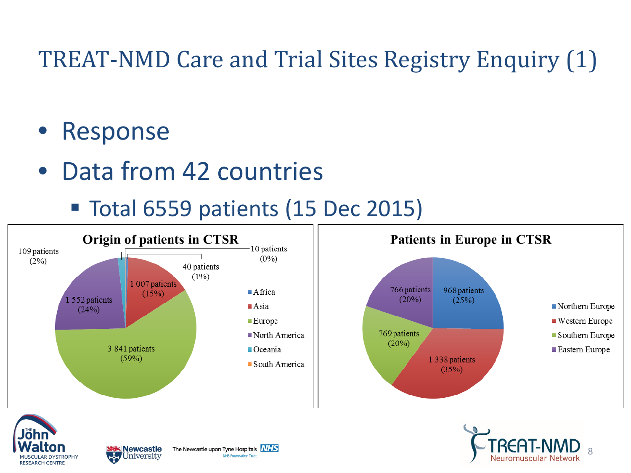#### TREAT-NMD Care and Trial Sites Registry Enquiry (1)

#### • Response

• Data from 42 countries

Total 6559 patients (15 Dec 2015)







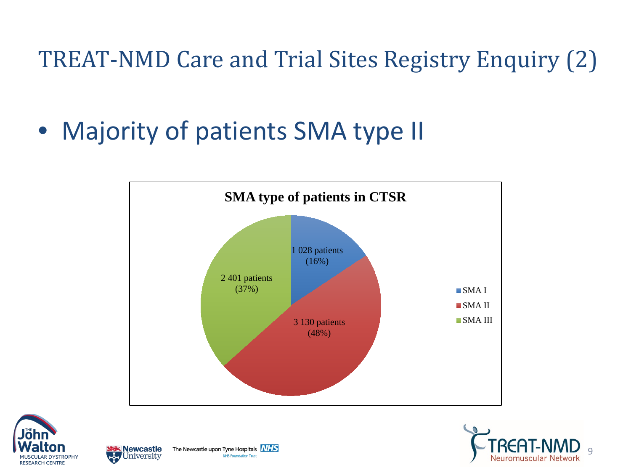TREAT-NMD Care and Trial Sites Registry Enquiry (2)

• Majority of patients SMA type II









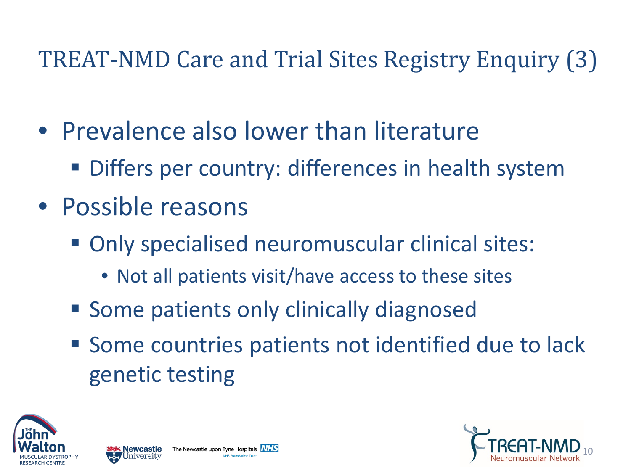#### TREAT-NMD Care and Trial Sites Registry Enquiry (3)

- Prevalence also lower than literature
	- Differs per country: differences in health system
- Possible reasons
	- Only specialised neuromuscular clinical sites:
		- Not all patients visit/have access to these sites
	- Some patients only clinically diagnosed
	- Some countries patients not identified due to lack genetic testing





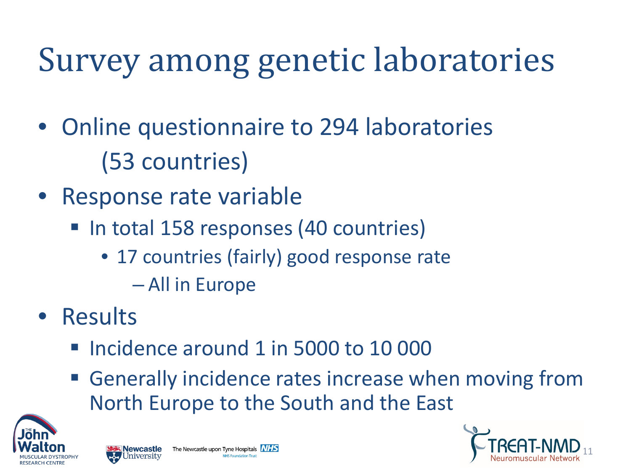## Survey among genetic laboratories

- Online questionnaire to 294 laboratories (53 countries)
- Response rate variable
	- In total 158 responses (40 countries)
		- 17 countries (fairly) good response rate
			- All in Europe
- Results
	- Incidence around 1 in 5000 to 10 000
	- **Generally incidence rates increase when moving from** North Europe to the South and the East